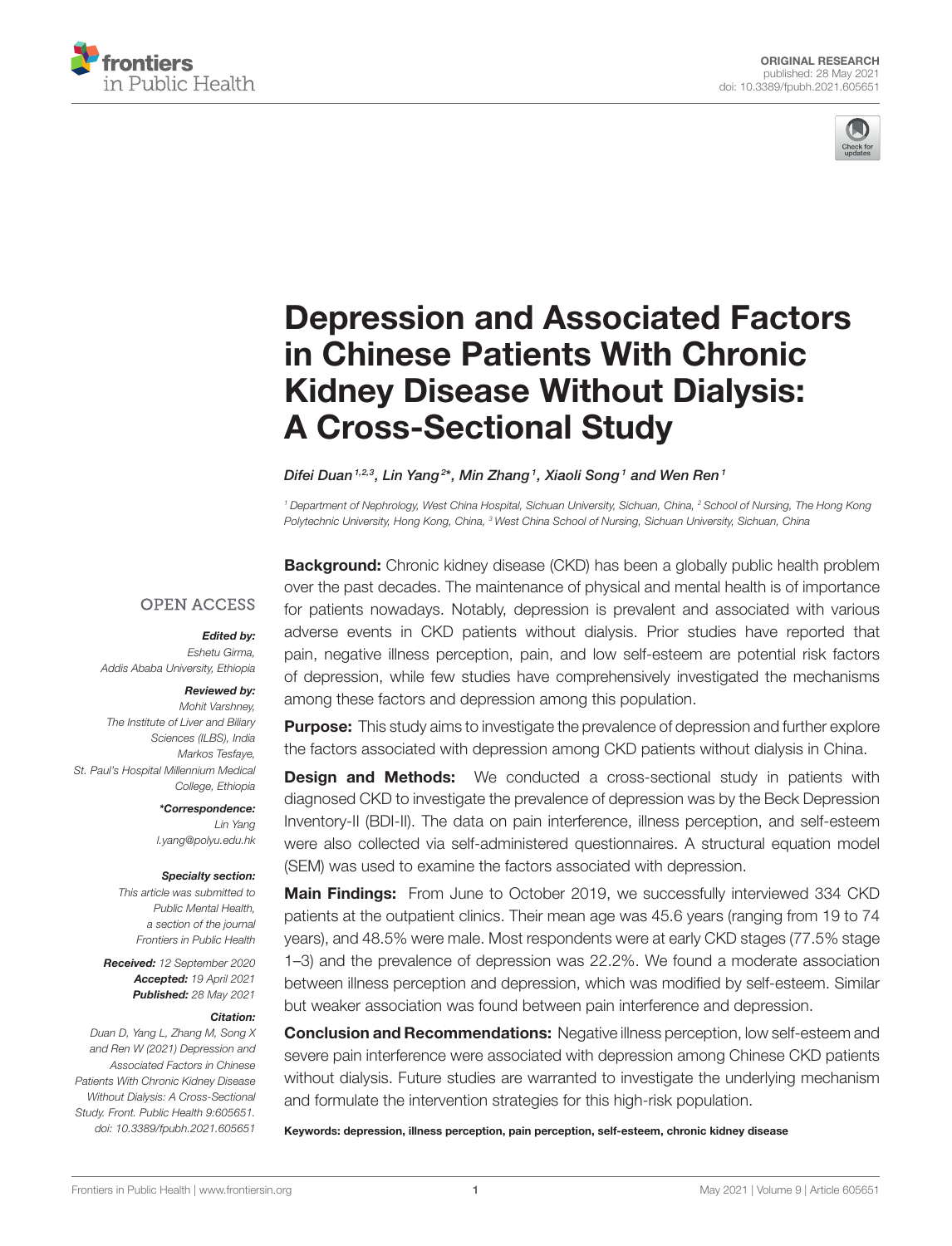



# [Depression and Associated Factors](https://www.frontiersin.org/articles/10.3389/fpubh.2021.605651/full) in Chinese Patients With Chronic Kidney Disease Without Dialysis: A Cross-Sectional Study

#### Difei Duan 1,2,3, Lin Yang<sup>2\*</sup>, Min Zhang <sup>1</sup>, Xiaoli Song 1 and Wen Ren 1

*<sup>1</sup> Department of Nephrology, West China Hospital, Sichuan University, Sichuan, China, <sup>2</sup> School of Nursing, The Hong Kong Polytechnic University, Hong Kong, China, <sup>3</sup> West China School of Nursing, Sichuan University, Sichuan, China*

#### **OPEN ACCESS**

#### Edited by:

*Eshetu Girma, Addis Ababa University, Ethiopia*

#### Reviewed by:

*Mohit Varshney, The Institute of Liver and Biliary Sciences (ILBS), India Markos Tesfaye, St. Paul's Hospital Millennium Medical College, Ethiopia*

> \*Correspondence: *Lin Yang [l.yang@polyu.edu.hk](mailto:l.yang@polyu.edu.hk)*

#### Specialty section:

*This article was submitted to Public Mental Health, a section of the journal Frontiers in Public Health*

Received: *12 September 2020* Accepted: *19 April 2021* Published: *28 May 2021*

#### Citation:

*Duan D, Yang L, Zhang M, Song X and Ren W (2021) Depression and Associated Factors in Chinese Patients With Chronic Kidney Disease Without Dialysis: A Cross-Sectional Study. Front. Public Health 9:605651. doi: [10.3389/fpubh.2021.605651](https://doi.org/10.3389/fpubh.2021.605651)*

**Background:** Chronic kidney disease (CKD) has been a globally public health problem over the past decades. The maintenance of physical and mental health is of importance for patients nowadays. Notably, depression is prevalent and associated with various adverse events in CKD patients without dialysis. Prior studies have reported that pain, negative illness perception, pain, and low self-esteem are potential risk factors of depression, while few studies have comprehensively investigated the mechanisms among these factors and depression among this population.

**Purpose:** This study aims to investigate the prevalence of depression and further explore the factors associated with depression among CKD patients without dialysis in China.

**Design and Methods:** We conducted a cross-sectional study in patients with diagnosed CKD to investigate the prevalence of depression was by the Beck Depression Inventory-II (BDI-II). The data on pain interference, illness perception, and self-esteem were also collected via self-administered questionnaires. A structural equation model (SEM) was used to examine the factors associated with depression.

Main Findings: From June to October 2019, we successfully interviewed 334 CKD patients at the outpatient clinics. Their mean age was 45.6 years (ranging from 19 to 74 years), and 48.5% were male. Most respondents were at early CKD stages (77.5% stage 1–3) and the prevalence of depression was 22.2%. We found a moderate association between illness perception and depression, which was modified by self-esteem. Similar but weaker association was found between pain interference and depression.

**Conclusion and Recommendations:** Negative illness perception, low self-esteem and severe pain interference were associated with depression among Chinese CKD patients without dialysis. Future studies are warranted to investigate the underlying mechanism and formulate the intervention strategies for this high-risk population.

Keywords: depression, illness perception, pain perception, self-esteem, chronic kidney disease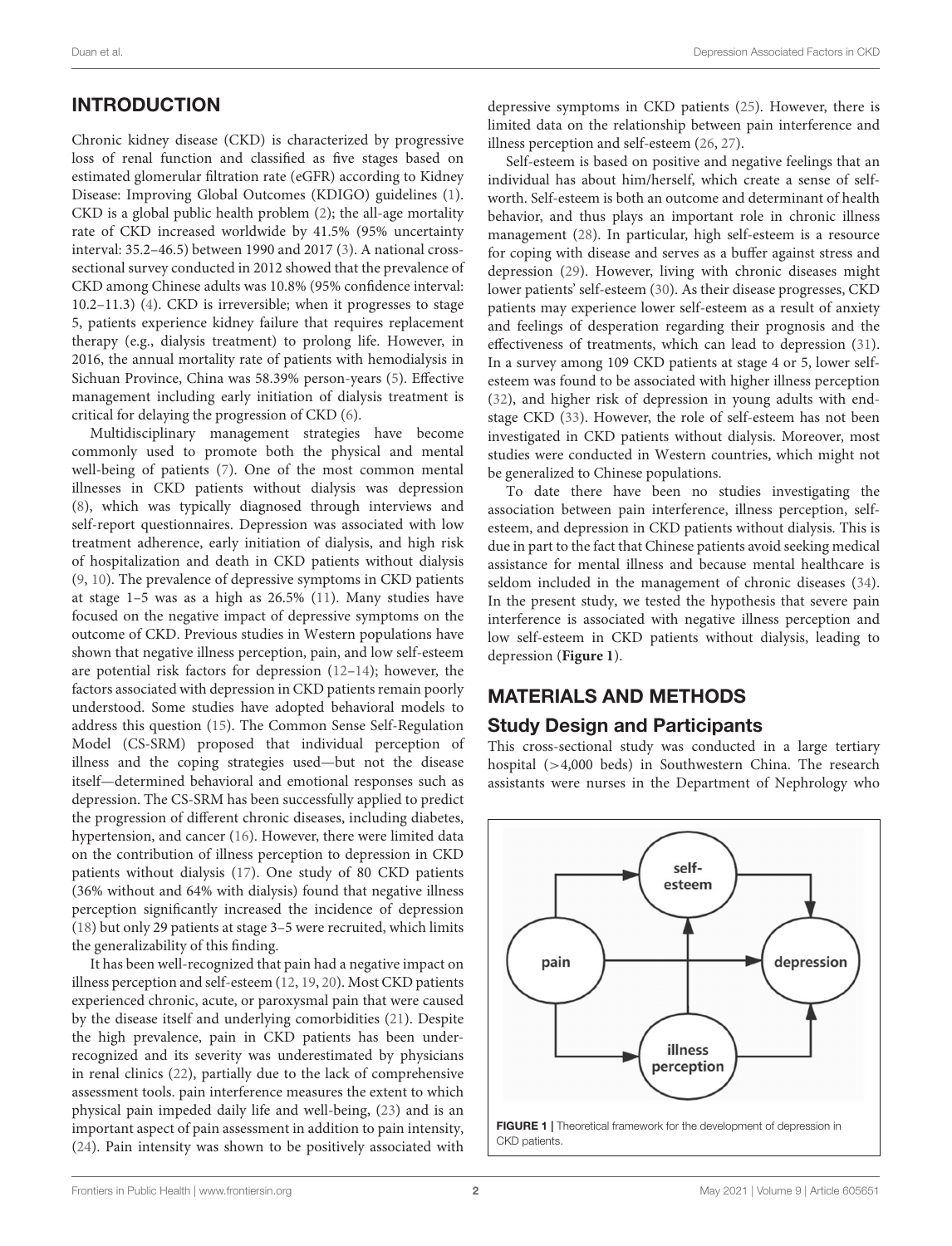# INTRODUCTION

Chronic kidney disease (CKD) is characterized by progressive loss of renal function and classified as five stages based on estimated glomerular filtration rate (eGFR) according to Kidney Disease: Improving Global Outcomes (KDIGO) guidelines [\(1\)](#page-6-0). CKD is a global public health problem [\(2\)](#page-6-1); the all-age mortality rate of CKD increased worldwide by 41.5% (95% uncertainty interval: 35.2–46.5) between 1990 and 2017 [\(3\)](#page-6-2). A national crosssectional survey conducted in 2012 showed that the prevalence of CKD among Chinese adults was 10.8% (95% confidence interval: 10.2–11.3) [\(4\)](#page-6-3). CKD is irreversible; when it progresses to stage 5, patients experience kidney failure that requires replacement therapy (e.g., dialysis treatment) to prolong life. However, in 2016, the annual mortality rate of patients with hemodialysis in Sichuan Province, China was 58.39% person-years [\(5\)](#page-6-4). Effective management including early initiation of dialysis treatment is critical for delaying the progression of CKD [\(6\)](#page-6-5).

Multidisciplinary management strategies have become commonly used to promote both the physical and mental well-being of patients [\(7\)](#page-6-6). One of the most common mental illnesses in CKD patients without dialysis was depression [\(8\)](#page-6-7), which was typically diagnosed through interviews and self-report questionnaires. Depression was associated with low treatment adherence, early initiation of dialysis, and high risk of hospitalization and death in CKD patients without dialysis [\(9,](#page-6-8) [10\)](#page-6-9). The prevalence of depressive symptoms in CKD patients at stage 1–5 was as a high as 26.5% [\(11\)](#page-6-10). Many studies have focused on the negative impact of depressive symptoms on the outcome of CKD. Previous studies in Western populations have shown that negative illness perception, pain, and low self-esteem are potential risk factors for depression [\(12](#page-6-11)[–14\)](#page-6-12); however, the factors associated with depression in CKD patients remain poorly understood. Some studies have adopted behavioral models to address this question [\(15\)](#page-6-13). The Common Sense Self-Regulation Model (CS-SRM) proposed that individual perception of illness and the coping strategies used—but not the disease itself—determined behavioral and emotional responses such as depression. The CS-SRM has been successfully applied to predict the progression of different chronic diseases, including diabetes, hypertension, and cancer [\(16\)](#page-6-14). However, there were limited data on the contribution of illness perception to depression in CKD patients without dialysis [\(17\)](#page-6-15). One study of 80 CKD patients (36% without and 64% with dialysis) found that negative illness perception significantly increased the incidence of depression [\(18\)](#page-6-16) but only 29 patients at stage 3–5 were recruited, which limits the generalizability of this finding.

It has been well-recognized that pain had a negative impact on illness perception and self-esteem [\(12,](#page-6-11) [19,](#page-6-17) [20\)](#page-6-18). Most CKD patients experienced chronic, acute, or paroxysmal pain that were caused by the disease itself and underlying comorbidities [\(21\)](#page-6-19). Despite the high prevalence, pain in CKD patients has been underrecognized and its severity was underestimated by physicians in renal clinics [\(22\)](#page-6-20), partially due to the lack of comprehensive assessment tools. pain interference measures the extent to which physical pain impeded daily life and well-being, [\(23\)](#page-6-21) and is an important aspect of pain assessment in addition to pain intensity, [\(24\)](#page-7-0). Pain intensity was shown to be positively associated with depressive symptoms in CKD patients [\(25\)](#page-7-1). However, there is limited data on the relationship between pain interference and illness perception and self-esteem [\(26,](#page-7-2) [27\)](#page-7-3).

Self-esteem is based on positive and negative feelings that an individual has about him/herself, which create a sense of selfworth. Self-esteem is both an outcome and determinant of health behavior, and thus plays an important role in chronic illness management [\(28\)](#page-7-4). In particular, high self-esteem is a resource for coping with disease and serves as a buffer against stress and depression [\(29\)](#page-7-5). However, living with chronic diseases might lower patients' self-esteem [\(30\)](#page-7-6). As their disease progresses, CKD patients may experience lower self-esteem as a result of anxiety and feelings of desperation regarding their prognosis and the effectiveness of treatments, which can lead to depression [\(31\)](#page-7-7). In a survey among 109 CKD patients at stage 4 or 5, lower selfesteem was found to be associated with higher illness perception [\(32\)](#page-7-8), and higher risk of depression in young adults with endstage CKD [\(33\)](#page-7-9). However, the role of self-esteem has not been investigated in CKD patients without dialysis. Moreover, most studies were conducted in Western countries, which might not be generalized to Chinese populations.

To date there have been no studies investigating the association between pain interference, illness perception, selfesteem, and depression in CKD patients without dialysis. This is due in part to the fact that Chinese patients avoid seeking medical assistance for mental illness and because mental healthcare is seldom included in the management of chronic diseases [\(34\)](#page-7-10). In the present study, we tested the hypothesis that severe pain interference is associated with negative illness perception and low self-esteem in CKD patients without dialysis, leading to depression (**[Figure 1](#page-1-0)**).

## MATERIALS AND METHODS

#### Study Design and Participants

This cross-sectional study was conducted in a large tertiary hospital (>4,000 beds) in Southwestern China. The research assistants were nurses in the Department of Nephrology who

<span id="page-1-0"></span>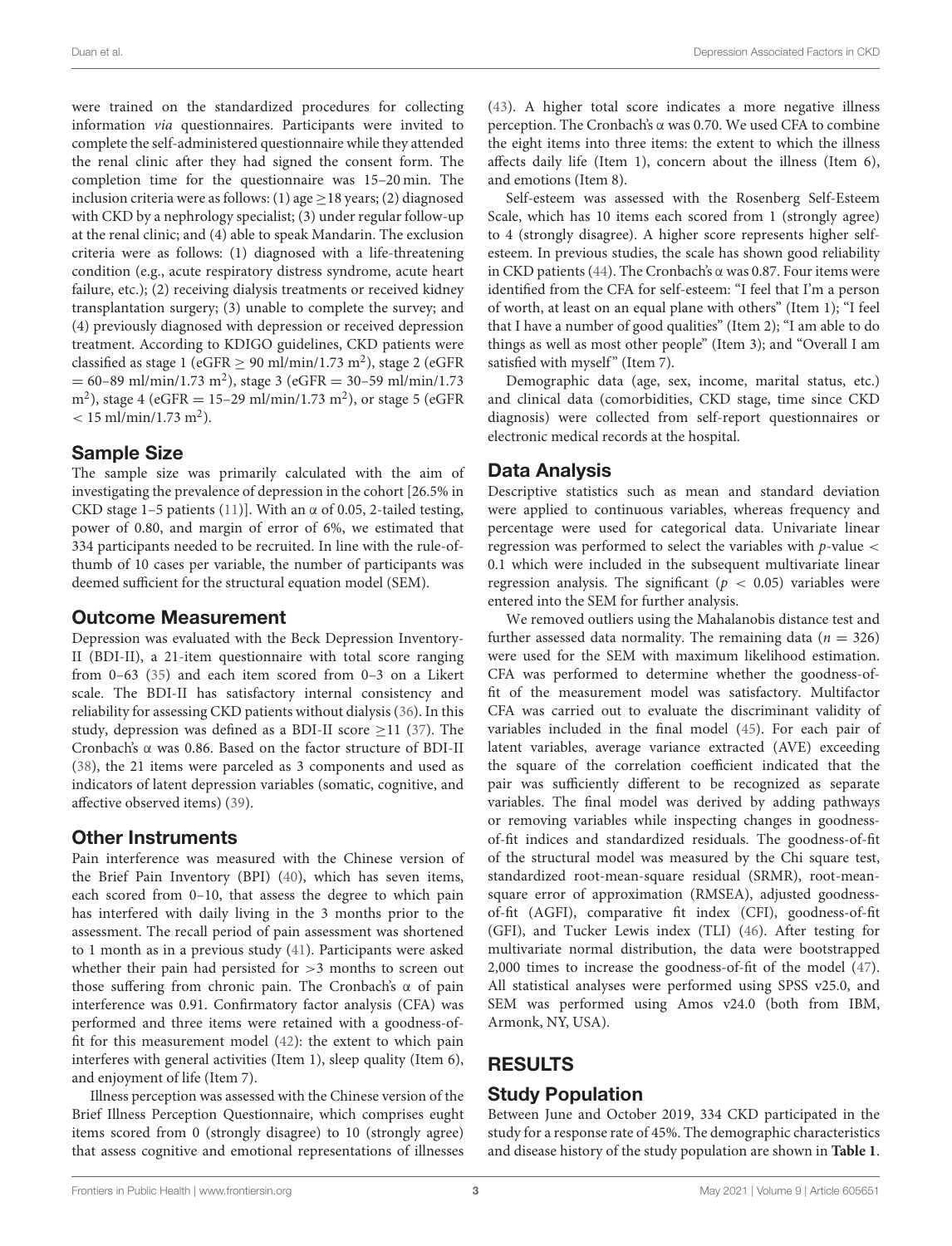were trained on the standardized procedures for collecting information via questionnaires. Participants were invited to complete the self-administered questionnaire while they attended the renal clinic after they had signed the consent form. The completion time for the questionnaire was 15–20 min. The inclusion criteria were as follows: (1) age  $>$  18 years; (2) diagnosed with CKD by a nephrology specialist; (3) under regular follow-up at the renal clinic; and (4) able to speak Mandarin. The exclusion criteria were as follows: (1) diagnosed with a life-threatening condition (e.g., acute respiratory distress syndrome, acute heart failure, etc.); (2) receiving dialysis treatments or received kidney transplantation surgery; (3) unable to complete the survey; and (4) previously diagnosed with depression or received depression treatment. According to KDIGO guidelines, CKD patients were classified as stage 1 (eGFR  $\geq$  90 ml/min/1.73 m<sup>2</sup>), stage 2 (eGFR  $= 60 - 89 \text{ ml/min}/1.73 \text{ m}^2$ ), stage 3 (eGFR  $= 30 - 59 \text{ ml/min}/1.73$ m<sup>2</sup>), stage 4 (eGFR = 15–29 ml/min/1.73 m<sup>2</sup>), or stage 5 (eGFR  $< 15$  ml/min/1.73 m<sup>2</sup>).

#### Sample Size

The sample size was primarily calculated with the aim of investigating the prevalence of depression in the cohort [26.5% in CKD stage 1–5 patients [\(11\)](#page-6-10)]. With an  $\alpha$  of 0.05, 2-tailed testing, power of 0.80, and margin of error of 6%, we estimated that 334 participants needed to be recruited. In line with the rule-ofthumb of 10 cases per variable, the number of participants was deemed sufficient for the structural equation model (SEM).

#### Outcome Measurement

Depression was evaluated with the Beck Depression Inventory-II (BDI-II), a 21-item questionnaire with total score ranging from 0–63 [\(35\)](#page-7-11) and each item scored from 0–3 on a Likert scale. The BDI-II has satisfactory internal consistency and reliability for assessing CKD patients without dialysis [\(36\)](#page-7-12). In this study, depression was defined as a BDI-II score  $\geq$ 11 [\(37\)](#page-7-13). The Cronbach's α was 0.86. Based on the factor structure of BDI-II [\(38\)](#page-7-14), the 21 items were parceled as 3 components and used as indicators of latent depression variables (somatic, cognitive, and affective observed items) [\(39\)](#page-7-15).

#### Other Instruments

Pain interference was measured with the Chinese version of the Brief Pain Inventory (BPI) [\(40\)](#page-7-16), which has seven items, each scored from 0–10, that assess the degree to which pain has interfered with daily living in the 3 months prior to the assessment. The recall period of pain assessment was shortened to 1 month as in a previous study [\(41\)](#page-7-17). Participants were asked whether their pain had persisted for >3 months to screen out those suffering from chronic pain. The Cronbach's α of pain interference was 0.91. Confirmatory factor analysis (CFA) was performed and three items were retained with a goodness-offit for this measurement model [\(42\)](#page-7-18): the extent to which pain interferes with general activities (Item 1), sleep quality (Item 6), and enjoyment of life (Item 7).

Illness perception was assessed with the Chinese version of the Brief Illness Perception Questionnaire, which comprises eught items scored from 0 (strongly disagree) to 10 (strongly agree) that assess cognitive and emotional representations of illnesses [\(43\)](#page-7-19). A higher total score indicates a more negative illness perception. The Cronbach's α was 0.70. We used CFA to combine the eight items into three items: the extent to which the illness affects daily life (Item 1), concern about the illness (Item 6), and emotions (Item 8).

Self-esteem was assessed with the Rosenberg Self-Esteem Scale, which has 10 items each scored from 1 (strongly agree) to 4 (strongly disagree). A higher score represents higher selfesteem. In previous studies, the scale has shown good reliability in CKD patients [\(44\)](#page-7-20). The Cronbach's α was 0.87. Four items were identified from the CFA for self-esteem: "I feel that I'm a person of worth, at least on an equal plane with others" (Item 1); "I feel that I have a number of good qualities" (Item 2); "I am able to do things as well as most other people" (Item 3); and "Overall I am satisfied with myself" (Item 7).

Demographic data (age, sex, income, marital status, etc.) and clinical data (comorbidities, CKD stage, time since CKD diagnosis) were collected from self-report questionnaires or electronic medical records at the hospital.

#### Data Analysis

Descriptive statistics such as mean and standard deviation were applied to continuous variables, whereas frequency and percentage were used for categorical data. Univariate linear regression was performed to select the variables with  $p$ -value  $\lt$ 0.1 which were included in the subsequent multivariate linear regression analysis. The significant ( $p < 0.05$ ) variables were entered into the SEM for further analysis.

We removed outliers using the Mahalanobis distance test and further assessed data normality. The remaining data ( $n = 326$ ) were used for the SEM with maximum likelihood estimation. CFA was performed to determine whether the goodness-offit of the measurement model was satisfactory. Multifactor CFA was carried out to evaluate the discriminant validity of variables included in the final model [\(45\)](#page-7-21). For each pair of latent variables, average variance extracted (AVE) exceeding the square of the correlation coefficient indicated that the pair was sufficiently different to be recognized as separate variables. The final model was derived by adding pathways or removing variables while inspecting changes in goodnessof-fit indices and standardized residuals. The goodness-of-fit of the structural model was measured by the Chi square test, standardized root-mean-square residual (SRMR), root-meansquare error of approximation (RMSEA), adjusted goodnessof-fit (AGFI), comparative fit index (CFI), goodness-of-fit (GFI), and Tucker Lewis index (TLI) [\(46\)](#page-7-22). After testing for multivariate normal distribution, the data were bootstrapped 2,000 times to increase the goodness-of-fit of the model [\(47\)](#page-7-23). All statistical analyses were performed using SPSS v25.0, and SEM was performed using Amos v24.0 (both from IBM, Armonk, NY, USA).

# RESULTS

## Study Population

Between June and October 2019, 334 CKD participated in the study for a response rate of 45%. The demographic characteristics and disease history of the study population are shown in **[Table 1](#page-3-0)**.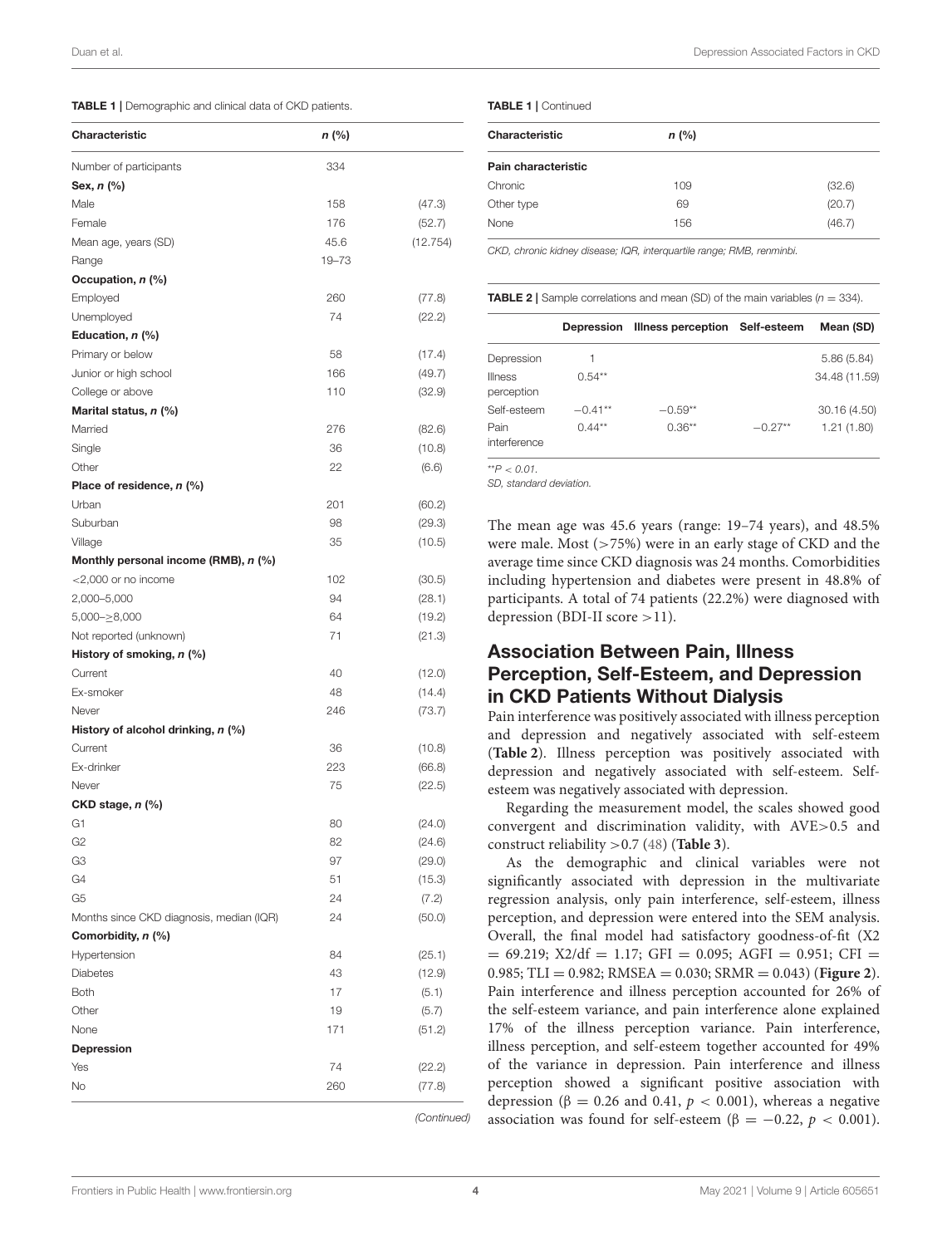<span id="page-3-0"></span>

| Characteristic                           | n (%) |          |
|------------------------------------------|-------|----------|
| Number of participants                   | 334   |          |
| Sex, n (%)                               |       |          |
| Male                                     | 158   | (47.3)   |
| Female                                   | 176   | (52.7)   |
| Mean age, years (SD)                     | 45.6  | (12.754) |
| Range                                    | 19-73 |          |
| Occupation, n (%)                        |       |          |
| Employed                                 | 260   | (77.8)   |
| Unemployed                               | 74    | (22.2)   |
| Education, $n$ (%)                       |       |          |
| Primary or below                         | 58    | (17.4)   |
| Junior or high school                    | 166   | (49.7)   |
| College or above                         | 110   | (32.9)   |
| Marital status, n (%)                    |       |          |
| Married                                  | 276   | (82.6)   |
| Single                                   | 36    | (10.8)   |
| Other                                    | 22    | (6.6)    |
| Place of residence, n (%)                |       |          |
| Urban                                    | 201   | (60.2)   |
| Suburban                                 | 98    | (29.3)   |
| Village                                  | 35    | (10.5)   |
| Monthly personal income (RMB), n (%)     |       |          |
| $<$ 2,000 or no income                   | 102   | (30.5)   |
| 2,000-5,000                              | 94    | (28.1)   |
| $5,000 - \geq 8,000$                     | 64    | (19.2)   |
| Not reported (unknown)                   | 71    | (21.3)   |
| History of smoking, n (%)                |       |          |
| Current                                  | 40    | (12.0)   |
| Ex-smoker                                | 48    | (14.4)   |
| Never                                    | 246   | (73.7)   |
| History of alcohol drinking, n (%)       |       |          |
| Current                                  | 36    | (10.8)   |
| Ex-drinker                               | 223   | (66.8)   |
| Never                                    | 75    | (22.5)   |
| $CKD$ stage, $n$ (%)                     |       |          |
| G1                                       | 80    | (24.0)   |
| G <sub>2</sub>                           | 82    | (24.6)   |
| G3                                       | 97    | (29.0)   |
| G4                                       | 51    | (15.3)   |
| G5                                       | 24    | (7.2)    |
| Months since CKD diagnosis, median (IQR) | 24    | (50.0)   |
| Comorbidity, n (%)                       |       |          |
| Hypertension                             | 84    | (25.1)   |
| <b>Diabetes</b>                          | 43    | (12.9)   |
| <b>Both</b>                              | 17    | (5.1)    |
| Other                                    | 19    | (5.7)    |
| None                                     | 171   | (51.2)   |
| <b>Depression</b>                        |       |          |
| Yes                                      | 74    | (22.2)   |
| No                                       | 260   | (77.8)   |
|                                          |       |          |

*(Continued)*

#### TABLE 1 | Continued

| Characteristic      | $n$ (%) |        |
|---------------------|---------|--------|
| Pain characteristic |         |        |
| Chronic             | 109     | (32.6) |
| Other type          | 69      | (20.7) |
| None                | 156     | (46.7) |

*CKD, chronic kidney disease; IQR, interquartile range; RMB, renminbi.*

<span id="page-3-1"></span>**TABLE 2** | Sample correlations and mean (SD) of the main variables  $(n = 334)$ .

|                              | Depression | Illness perception Self-esteem |           | Mean (SD)     |
|------------------------------|------------|--------------------------------|-----------|---------------|
| Depression                   |            |                                |           | 5.86(5.84)    |
| <b>Illness</b><br>perception | $0.54**$   |                                |           | 34.48 (11.59) |
| Self-esteem                  | $-0.41**$  | $-0.59**$                      |           | 30.16 (4.50)  |
| Pain<br>interference         | $0.44***$  | $0.36***$                      | $-0.27**$ | 1.21(1.80)    |

\*\**P* < *0.01.*

*SD, standard deviation.*

The mean age was 45.6 years (range: 19–74 years), and 48.5% were male. Most (>75%) were in an early stage of CKD and the average time since CKD diagnosis was 24 months. Comorbidities including hypertension and diabetes were present in 48.8% of participants. A total of 74 patients (22.2%) were diagnosed with depression (BDI-II score >11).

#### Association Between Pain, Illness Perception, Self-Esteem, and Depression in CKD Patients Without Dialysis

Pain interference was positively associated with illness perception and depression and negatively associated with self-esteem (**[Table 2](#page-3-1)**). Illness perception was positively associated with depression and negatively associated with self-esteem. Selfesteem was negatively associated with depression.

Regarding the measurement model, the scales showed good convergent and discrimination validity, with AVE>0.5 and construct reliability >0.7 [\(48\)](#page-7-24) (**[Table 3](#page-4-0)**).

As the demographic and clinical variables were not significantly associated with depression in the multivariate regression analysis, only pain interference, self-esteem, illness perception, and depression were entered into the SEM analysis. Overall, the final model had satisfactory goodness-of-fit (X2  $= 69.219$ ; X2/df  $= 1.17$ ; GFI  $= 0.095$ ; AGFI  $= 0.951$ ; CFI  $=$ 0.985; TLI = 0.982; RMSEA = 0.030; SRMR = 0.043) (**[Figure 2](#page-5-0)**). Pain interference and illness perception accounted for 26% of the self-esteem variance, and pain interference alone explained 17% of the illness perception variance. Pain interference, illness perception, and self-esteem together accounted for 49% of the variance in depression. Pain interference and illness perception showed a significant positive association with depression ( $\beta = 0.26$  and 0.41,  $p < 0.001$ ), whereas a negative association was found for self-esteem ( $\beta = -0.22$ ,  $p < 0.001$ ).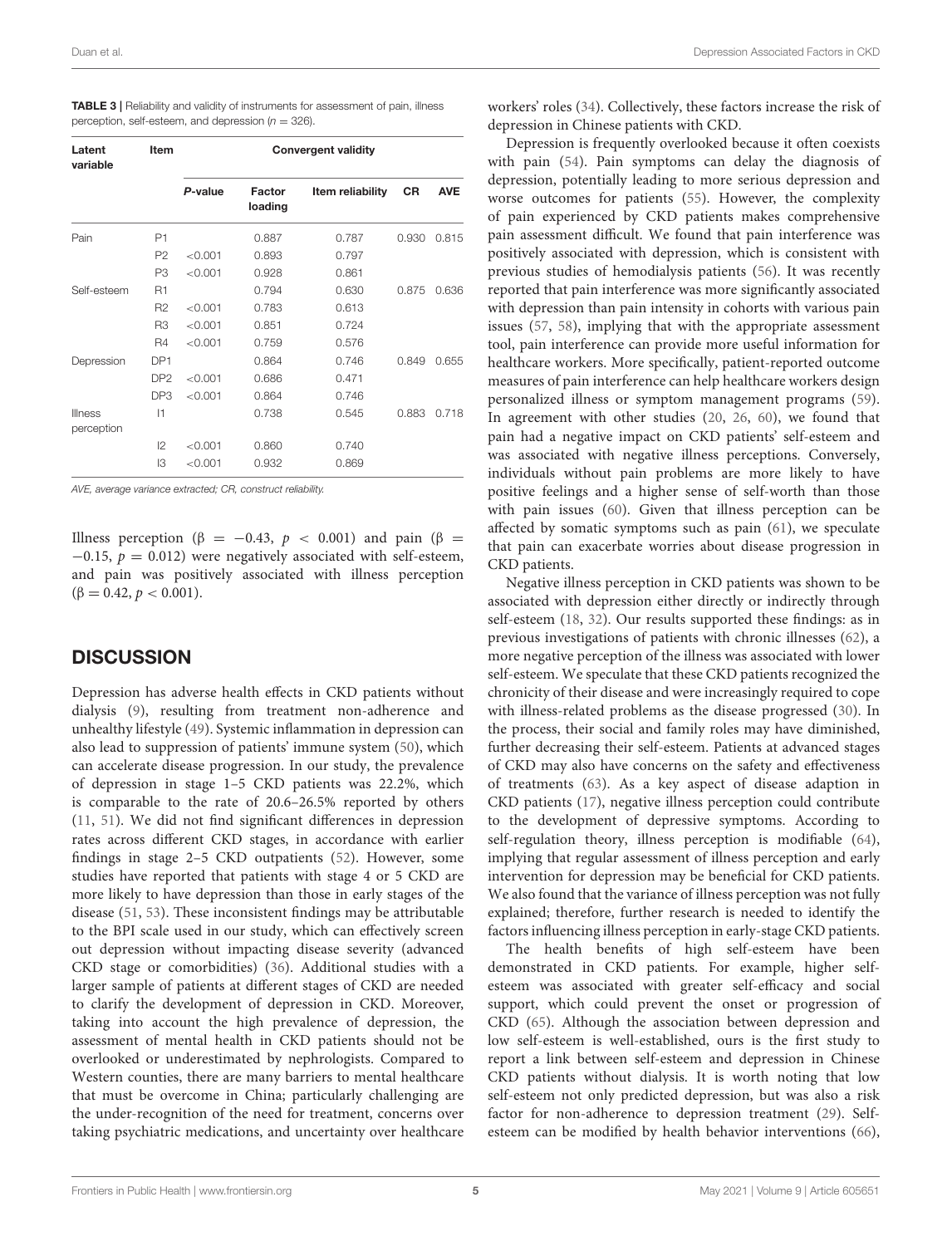<span id="page-4-0"></span>

| <b>TABLE 3</b>   Reliability and validity of instruments for assessment of pain, illness |  |
|------------------------------------------------------------------------------------------|--|
| perception, self-esteem, and depression ( $n = 326$ ).                                   |  |

| Latent<br>variable | <b>Item</b>     | <b>Convergent validity</b> |                   |                  |           |            |
|--------------------|-----------------|----------------------------|-------------------|------------------|-----------|------------|
|                    |                 | P-value                    | Factor<br>loading | Item reliability | <b>CR</b> | <b>AVE</b> |
| Pain               | P1              |                            | 0.887             | 0.787            | 0.930     | 0.815      |
|                    | P <sub>2</sub>  | < 0.001                    | 0.893             | 0.797            |           |            |
|                    | P <sub>3</sub>  | < 0.001                    | 0.928             | 0.861            |           |            |
| Self-esteem        | <b>R1</b>       |                            | 0.794             | 0.630            | 0.875     | 0.636      |
|                    | R <sub>2</sub>  | < 0.001                    | 0.783             | 0.613            |           |            |
|                    | R <sub>3</sub>  | < 0.001                    | 0.851             | 0.724            |           |            |
|                    | <b>R4</b>       | < 0.001                    | 0.759             | 0.576            |           |            |
| Depression         | DP <sub>1</sub> |                            | 0.864             | 0.746            | 0.849     | 0.655      |
|                    | DP <sub>2</sub> | < 0.001                    | 0.686             | 0.471            |           |            |
|                    | DP3             | < 0.001                    | 0.864             | 0.746            |           |            |
| <b>Illness</b>     | 1               |                            | 0.738             | 0.545            | 0.883     | 0.718      |
| perception         |                 |                            |                   |                  |           |            |
|                    | 2               | < 0.001                    | 0.860             | 0.740            |           |            |
|                    | IЗ              | < 0.001                    | 0.932             | 0.869            |           |            |

*AVE, average variance extracted; CR, construct reliability.*

Illness perception ( $\beta = -0.43$ ,  $p < 0.001$ ) and pain ( $\beta =$  $-0.15$ ,  $p = 0.012$ ) were negatively associated with self-esteem, and pain was positively associated with illness perception  $(\beta = 0.42, p < 0.001).$ 

#### **DISCUSSION**

Depression has adverse health effects in CKD patients without dialysis [\(9\)](#page-6-8), resulting from treatment non-adherence and unhealthy lifestyle [\(49\)](#page-7-25). Systemic inflammation in depression can also lead to suppression of patients' immune system [\(50\)](#page-7-26), which can accelerate disease progression. In our study, the prevalence of depression in stage 1–5 CKD patients was 22.2%, which is comparable to the rate of 20.6–26.5% reported by others [\(11,](#page-6-10) [51\)](#page-7-27). We did not find significant differences in depression rates across different CKD stages, in accordance with earlier findings in stage 2–5 CKD outpatients [\(52\)](#page-7-28). However, some studies have reported that patients with stage 4 or 5 CKD are more likely to have depression than those in early stages of the disease [\(51,](#page-7-27) [53\)](#page-7-29). These inconsistent findings may be attributable to the BPI scale used in our study, which can effectively screen out depression without impacting disease severity (advanced CKD stage or comorbidities) [\(36\)](#page-7-12). Additional studies with a larger sample of patients at different stages of CKD are needed to clarify the development of depression in CKD. Moreover, taking into account the high prevalence of depression, the assessment of mental health in CKD patients should not be overlooked or underestimated by nephrologists. Compared to Western counties, there are many barriers to mental healthcare that must be overcome in China; particularly challenging are the under-recognition of the need for treatment, concerns over taking psychiatric medications, and uncertainty over healthcare workers' roles [\(34\)](#page-7-10). Collectively, these factors increase the risk of depression in Chinese patients with CKD.

Depression is frequently overlooked because it often coexists with pain [\(54\)](#page-7-30). Pain symptoms can delay the diagnosis of depression, potentially leading to more serious depression and worse outcomes for patients [\(55\)](#page-7-31). However, the complexity of pain experienced by CKD patients makes comprehensive pain assessment difficult. We found that pain interference was positively associated with depression, which is consistent with previous studies of hemodialysis patients [\(56\)](#page-7-32). It was recently reported that pain interference was more significantly associated with depression than pain intensity in cohorts with various pain issues [\(57,](#page-7-33) [58\)](#page-7-34), implying that with the appropriate assessment tool, pain interference can provide more useful information for healthcare workers. More specifically, patient-reported outcome measures of pain interference can help healthcare workers design personalized illness or symptom management programs [\(59\)](#page-7-35). In agreement with other studies [\(20,](#page-6-18) [26,](#page-7-2) [60\)](#page-7-36), we found that pain had a negative impact on CKD patients' self-esteem and was associated with negative illness perceptions. Conversely, individuals without pain problems are more likely to have positive feelings and a higher sense of self-worth than those with pain issues [\(60\)](#page-7-36). Given that illness perception can be affected by somatic symptoms such as pain [\(61\)](#page-7-37), we speculate that pain can exacerbate worries about disease progression in CKD patients.

Negative illness perception in CKD patients was shown to be associated with depression either directly or indirectly through self-esteem [\(18,](#page-6-16) [32\)](#page-7-8). Our results supported these findings: as in previous investigations of patients with chronic illnesses [\(62\)](#page-7-38), a more negative perception of the illness was associated with lower self-esteem. We speculate that these CKD patients recognized the chronicity of their disease and were increasingly required to cope with illness-related problems as the disease progressed [\(30\)](#page-7-6). In the process, their social and family roles may have diminished, further decreasing their self-esteem. Patients at advanced stages of CKD may also have concerns on the safety and effectiveness of treatments [\(63\)](#page-8-0). As a key aspect of disease adaption in CKD patients [\(17\)](#page-6-15), negative illness perception could contribute to the development of depressive symptoms. According to self-regulation theory, illness perception is modifiable [\(64\)](#page-8-1), implying that regular assessment of illness perception and early intervention for depression may be beneficial for CKD patients. We also found that the variance of illness perception was not fully explained; therefore, further research is needed to identify the factors influencing illness perception in early-stage CKD patients.

The health benefits of high self-esteem have been demonstrated in CKD patients. For example, higher selfesteem was associated with greater self-efficacy and social support, which could prevent the onset or progression of CKD [\(65\)](#page-8-2). Although the association between depression and low self-esteem is well-established, ours is the first study to report a link between self-esteem and depression in Chinese CKD patients without dialysis. It is worth noting that low self-esteem not only predicted depression, but was also a risk factor for non-adherence to depression treatment [\(29\)](#page-7-5). Selfesteem can be modified by health behavior interventions [\(66\)](#page-8-3),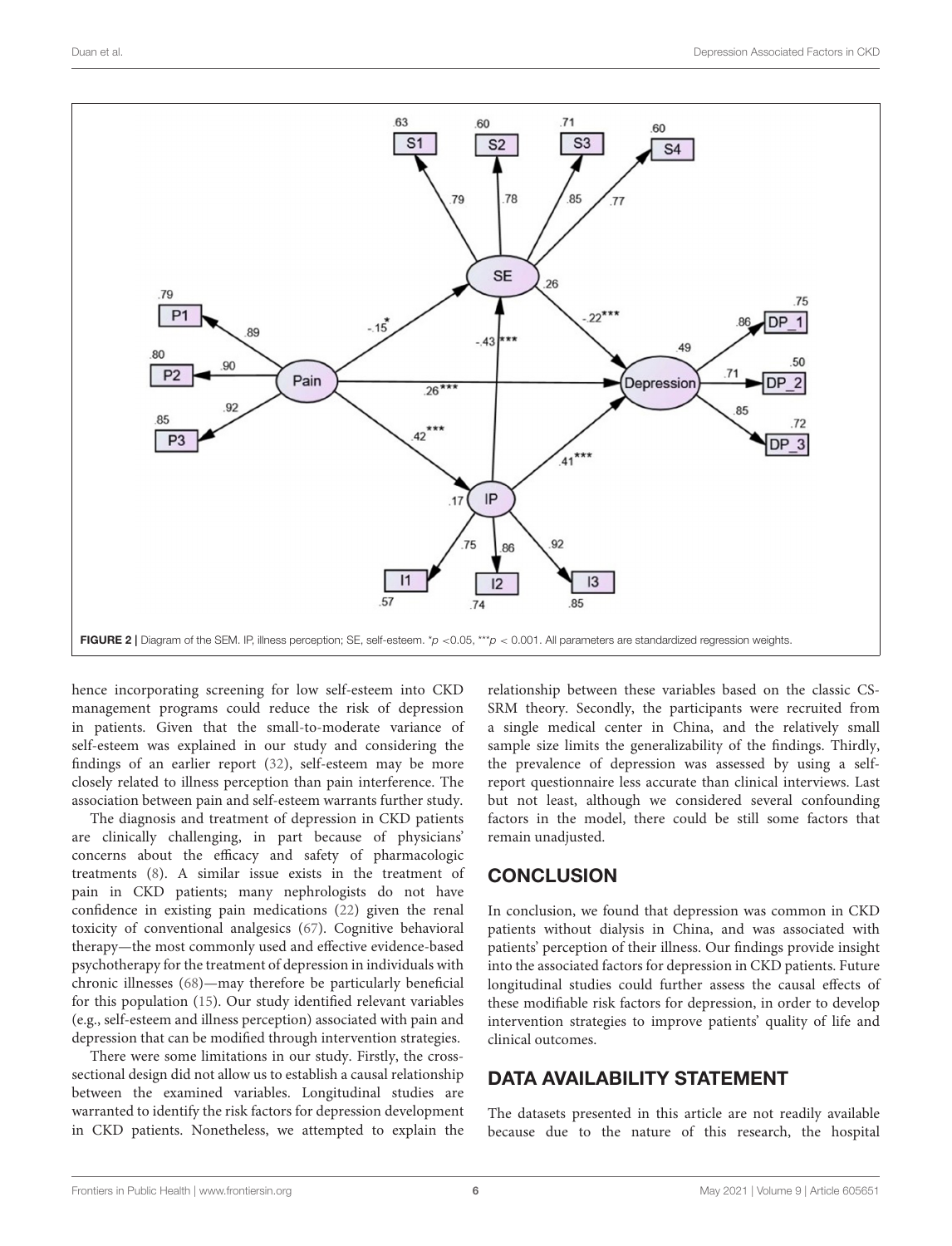

<span id="page-5-0"></span>hence incorporating screening for low self-esteem into CKD management programs could reduce the risk of depression in patients. Given that the small-to-moderate variance of self-esteem was explained in our study and considering the findings of an earlier report [\(32\)](#page-7-8), self-esteem may be more closely related to illness perception than pain interference. The association between pain and self-esteem warrants further study.

The diagnosis and treatment of depression in CKD patients are clinically challenging, in part because of physicians' concerns about the efficacy and safety of pharmacologic treatments [\(8\)](#page-6-7). A similar issue exists in the treatment of pain in CKD patients; many nephrologists do not have confidence in existing pain medications [\(22\)](#page-6-20) given the renal toxicity of conventional analgesics [\(67\)](#page-8-4). Cognitive behavioral therapy—the most commonly used and effective evidence-based psychotherapy for the treatment of depression in individuals with chronic illnesses [\(68\)](#page-8-5)—may therefore be particularly beneficial for this population [\(15\)](#page-6-13). Our study identified relevant variables (e.g., self-esteem and illness perception) associated with pain and depression that can be modified through intervention strategies.

There were some limitations in our study. Firstly, the crosssectional design did not allow us to establish a causal relationship between the examined variables. Longitudinal studies are warranted to identify the risk factors for depression development in CKD patients. Nonetheless, we attempted to explain the relationship between these variables based on the classic CS-SRM theory. Secondly, the participants were recruited from a single medical center in China, and the relatively small sample size limits the generalizability of the findings. Thirdly, the prevalence of depression was assessed by using a selfreport questionnaire less accurate than clinical interviews. Last but not least, although we considered several confounding factors in the model, there could be still some factors that remain unadjusted.

## **CONCLUSION**

In conclusion, we found that depression was common in CKD patients without dialysis in China, and was associated with patients' perception of their illness. Our findings provide insight into the associated factors for depression in CKD patients. Future longitudinal studies could further assess the causal effects of these modifiable risk factors for depression, in order to develop intervention strategies to improve patients' quality of life and clinical outcomes.

#### DATA AVAILABILITY STATEMENT

The datasets presented in this article are not readily available because due to the nature of this research, the hospital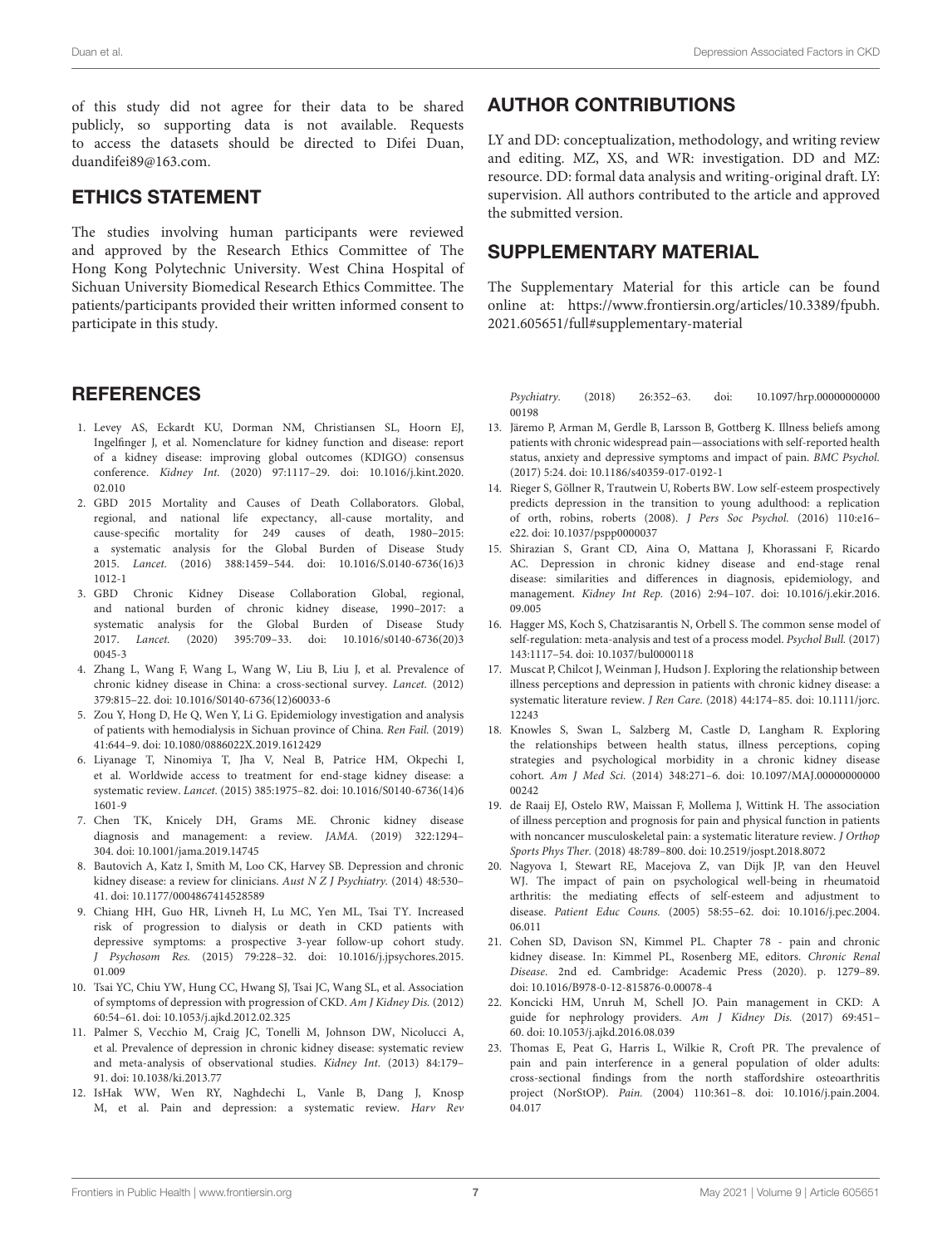of this study did not agree for their data to be shared publicly, so supporting data is not available. Requests to access the datasets should be directed to Difei Duan, duandifei89@163.com.

#### ETHICS STATEMENT

The studies involving human participants were reviewed and approved by the Research Ethics Committee of The Hong Kong Polytechnic University. West China Hospital of Sichuan University Biomedical Research Ethics Committee. The patients/participants provided their written informed consent to participate in this study.

#### **REFERENCES**

- <span id="page-6-0"></span>1. Levey AS, Eckardt KU, Dorman NM, Christiansen SL, Hoorn EJ, Ingelfinger J, et al. Nomenclature for kidney function and disease: report of a kidney disease: improving global outcomes (KDIGO) consensus conference. Kidney Int. [\(2020\) 97:1117–29. doi: 10.1016/j.kint.2020.](https://doi.org/10.1016/j.kint.2020.02.010) 02.010
- <span id="page-6-1"></span>2. GBD 2015 Mortality and Causes of Death Collaborators. Global, regional, and national life expectancy, all-cause mortality, and cause-specific mortality for 249 causes of death, 1980–2015: a systematic analysis for the Global Burden of Disease Study 2015. Lancet. [\(2016\) 388:1459–544. doi: 10.1016/S.0140-6736\(16\)3](https://doi.org/10.1016/S.0140-6736(16)31012-1) 1012-1
- <span id="page-6-2"></span>3. GBD Chronic Kidney Disease Collaboration Global, regional, and national burden of chronic kidney disease, 1990–2017: a systematic analysis for the Global Burden of Disease Study 2017. Lancet. [\(2020\) 395:709–33. doi: 10.1016/s0140-6736\(20\)3](https://doi.org/10.1016/s0140-6736(20)30045-3) 0045-3
- <span id="page-6-3"></span>4. Zhang L, Wang F, Wang L, Wang W, Liu B, Liu J, et al. Prevalence of chronic kidney disease in China: a cross-sectional survey. Lancet. (2012) 379:815–22. doi: [10.1016/S0140-6736\(12\)60033-6](https://doi.org/10.1016/S0140-6736(12)60033-6)
- <span id="page-6-4"></span>5. Zou Y, Hong D, He Q, Wen Y, Li G. Epidemiology investigation and analysis of patients with hemodialysis in Sichuan province of China. Ren Fail. (2019) 41:644–9. doi: [10.1080/0886022X.2019.1612429](https://doi.org/10.1080/0886022X.2019.1612429)
- <span id="page-6-5"></span>6. Liyanage T, Ninomiya T, Jha V, Neal B, Patrice HM, Okpechi I, et al. Worldwide access to treatment for end-stage kidney disease: a systematic review. Lancet. [\(2015\) 385:1975–82. doi: 10.1016/S0140-6736\(14\)6](https://doi.org/10.1016/S0140-6736(14)61601-9) 1601-9
- <span id="page-6-6"></span>7. Chen TK, Knicely DH, Grams ME. Chronic kidney disease diagnosis and management: a review. JAMA. (2019) 322:1294– 304. doi: [10.1001/jama.2019.14745](https://doi.org/10.1001/jama.2019.14745)
- <span id="page-6-7"></span>8. Bautovich A, Katz I, Smith M, Loo CK, Harvey SB. Depression and chronic kidney disease: a review for clinicians. Aust N Z J Psychiatry. (2014) 48:530– 41. doi: [10.1177/0004867414528589](https://doi.org/10.1177/0004867414528589)
- <span id="page-6-8"></span>9. Chiang HH, Guo HR, Livneh H, Lu MC, Yen ML, Tsai TY. Increased risk of progression to dialysis or death in CKD patients with depressive symptoms: a prospective 3-year follow-up cohort study. J Psychosom Res. [\(2015\) 79:228–32. doi: 10.1016/j.jpsychores.2015.](https://doi.org/10.1016/j.jpsychores.2015.01.009) 01.009
- <span id="page-6-9"></span>10. Tsai YC, Chiu YW, Hung CC, Hwang SJ, Tsai JC, Wang SL, et al. Association of symptoms of depression with progression of CKD. Am J Kidney Dis. (2012) 60:54–61. doi: [10.1053/j.ajkd.2012.02.325](https://doi.org/10.1053/j.ajkd.2012.02.325)
- <span id="page-6-10"></span>11. Palmer S, Vecchio M, Craig JC, Tonelli M, Johnson DW, Nicolucci A, et al. Prevalence of depression in chronic kidney disease: systematic review and meta-analysis of observational studies. Kidney Int. (2013) 84:179– 91. doi: [10.1038/ki.2013.77](https://doi.org/10.1038/ki.2013.77)
- <span id="page-6-11"></span>12. IsHak WW, Wen RY, Naghdechi L, Vanle B, Dang J, Knosp M, et al. Pain and depression: a systematic review. Harv Rev

### AUTHOR CONTRIBUTIONS

LY and DD: conceptualization, methodology, and writing review and editing. MZ, XS, and WR: investigation. DD and MZ: resource. DD: formal data analysis and writing-original draft. LY: supervision. All authors contributed to the article and approved the submitted version.

### SUPPLEMENTARY MATERIAL

The Supplementary Material for this article can be found [online at: https://www.frontiersin.org/articles/10.3389/fpubh.](https://www.frontiersin.org/articles/10.3389/fpubh.2021.605651/full#supplementary-material) 2021.605651/full#supplementary-material

Psychiatry. [\(2018\) 26:352–63. doi: 10.1097/hrp.00000000000](https://doi.org/10.1097/hrp.0000000000000198) 00198

- 13. Järemo P, Arman M, Gerdle B, Larsson B, Gottberg K. Illness beliefs among patients with chronic widespread pain—associations with self-reported health status, anxiety and depressive symptoms and impact of pain. BMC Psychol. (2017) 5:24. doi: [10.1186/s40359-017-0192-1](https://doi.org/10.1186/s40359-017-0192-1)
- <span id="page-6-12"></span>14. Rieger S, Göllner R, Trautwein U, Roberts BW. Low self-esteem prospectively predicts depression in the transition to young adulthood: a replication of orth, robins, roberts (2008). J Pers Soc Psychol. (2016) 110:e16– e22. doi: [10.1037/pspp0000037](https://doi.org/10.1037/pspp0000037)
- <span id="page-6-13"></span>15. Shirazian S, Grant CD, Aina O, Mattana J, Khorassani F, Ricardo AC. Depression in chronic kidney disease and end-stage renal disease: similarities and differences in diagnosis, epidemiology, and management. Kidney Int Rep. [\(2016\) 2:94–107. doi: 10.1016/j.ekir.2016.](https://doi.org/10.1016/j.ekir.2016.09.005) 09.005
- <span id="page-6-14"></span>16. Hagger MS, Koch S, Chatzisarantis N, Orbell S. The common sense model of self-regulation: meta-analysis and test of a process model. Psychol Bull. (2017) 143:1117–54. doi: [10.1037/bul0000118](https://doi.org/10.1037/bul0000118)
- <span id="page-6-15"></span>17. Muscat P, Chilcot J, Weinman J, Hudson J. Exploring the relationship between illness perceptions and depression in patients with chronic kidney disease: a systematic literature review. J Ren Care[. \(2018\) 44:174–85. doi: 10.1111/jorc.](https://doi.org/10.1111/jorc.12243) 12243
- <span id="page-6-16"></span>18. Knowles S, Swan L, Salzberg M, Castle D, Langham R. Exploring the relationships between health status, illness perceptions, coping strategies and psychological morbidity in a chronic kidney disease cohort. Am J Med Sci. [\(2014\) 348:271–6. doi: 10.1097/MAJ.00000000000](https://doi.org/10.1097/MAJ.0000000000000242) 00242
- <span id="page-6-17"></span>19. de Raaij EJ, Ostelo RW, Maissan F, Mollema J, Wittink H. The association of illness perception and prognosis for pain and physical function in patients with noncancer musculoskeletal pain: a systematic literature review. J Orthop Sports Phys Ther. (2018) 48:789–800. doi: [10.2519/jospt.2018.8072](https://doi.org/10.2519/jospt.2018.8072)
- <span id="page-6-18"></span>20. Nagyova I, Stewart RE, Macejova Z, van Dijk JP, van den Heuvel WJ. The impact of pain on psychological well-being in rheumatoid arthritis: the mediating effects of self-esteem and adjustment to disease. Patient Educ Couns. [\(2005\) 58:55–62. doi: 10.1016/j.pec.2004.](https://doi.org/10.1016/j.pec.2004.06.011) 06.011
- <span id="page-6-19"></span>21. Cohen SD, Davison SN, Kimmel PL. Chapter 78 - pain and chronic kidney disease. In: Kimmel PL, Rosenberg ME, editors. Chronic Renal Disease. 2nd ed. Cambridge: Academic Press (2020). p. 1279–89. doi: [10.1016/B978-0-12-815876-0.00078-4](https://doi.org/10.1016/B978-0-12-815876-0.00078-4)
- <span id="page-6-20"></span>22. Koncicki HM, Unruh M, Schell JO. Pain management in CKD: A guide for nephrology providers. Am J Kidney Dis. (2017) 69:451– 60. doi: [10.1053/j.ajkd.2016.08.039](https://doi.org/10.1053/j.ajkd.2016.08.039)
- <span id="page-6-21"></span>23. Thomas E, Peat G, Harris L, Wilkie R, Croft PR. The prevalence of pain and pain interference in a general population of older adults: cross-sectional findings from the north staffordshire osteoarthritis project (NorStOP). Pain. [\(2004\) 110:361–8. doi: 10.1016/j.pain.2004.](https://doi.org/10.1016/j.pain.2004.04.017) 04.017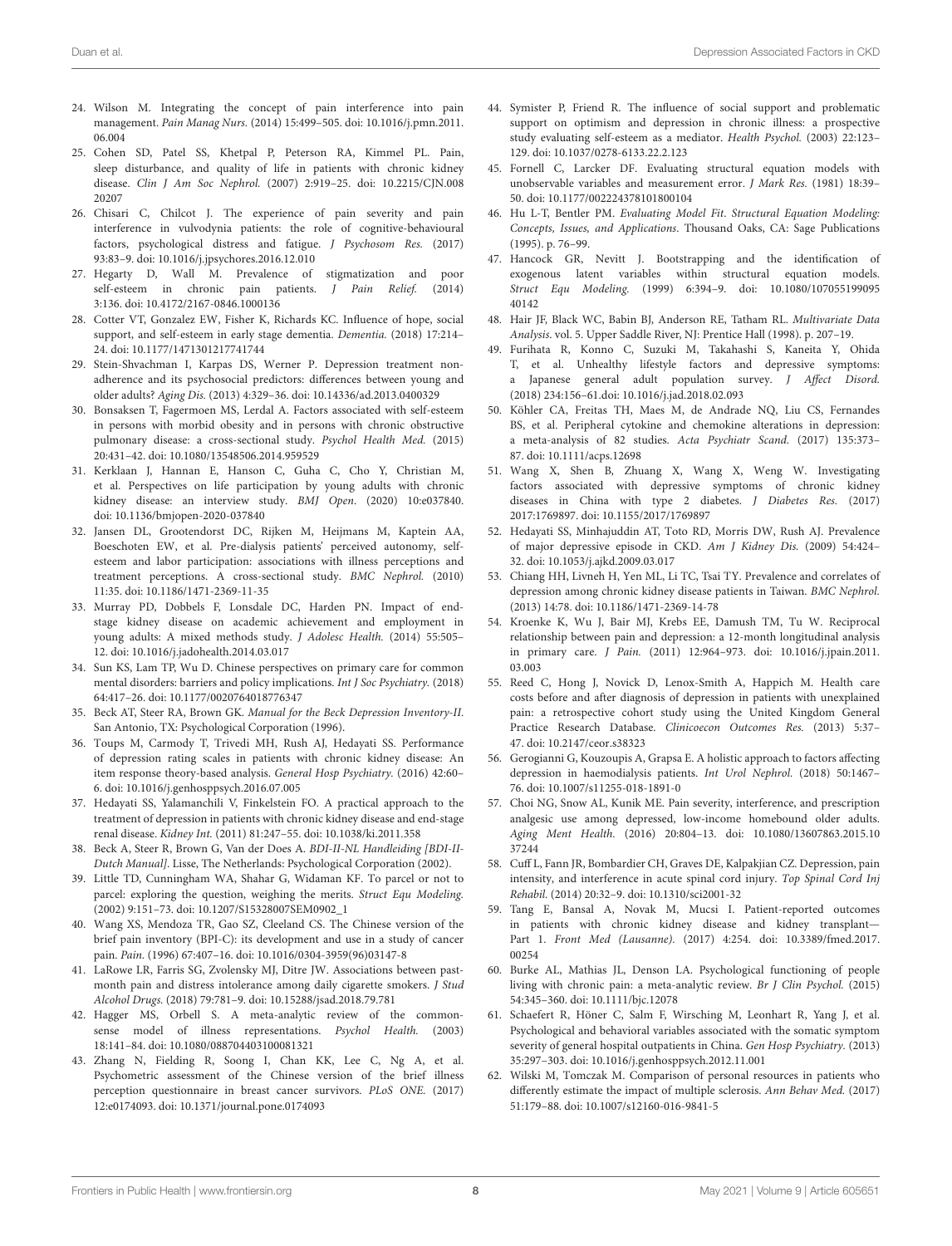- <span id="page-7-0"></span>24. Wilson M. Integrating the concept of pain interference into pain management. Pain Manag Nurs. [\(2014\) 15:499–505. doi: 10.1016/j.pmn.2011.](https://doi.org/10.1016/j.pmn.2011.06.004) 06.004
- <span id="page-7-1"></span>25. Cohen SD, Patel SS, Khetpal P, Peterson RA, Kimmel PL. Pain, sleep disturbance, and quality of life in patients with chronic kidney disease. Clin J Am Soc Nephrol. [\(2007\) 2:919–25. doi: 10.2215/CJN.008](https://doi.org/10.2215/CJN.00820207) 20207
- <span id="page-7-2"></span>26. Chisari C, Chilcot J. The experience of pain severity and pain interference in vulvodynia patients: the role of cognitive-behavioural factors, psychological distress and fatigue. J Psychosom Res. (2017) 93:83–9. doi: [10.1016/j.jpsychores.2016.12.010](https://doi.org/10.1016/j.jpsychores.2016.12.010)
- <span id="page-7-3"></span>27. Hegarty D, Wall M. Prevalence of stigmatization and poor self-esteem in chronic pain patients. J Pain Relief. (2014) 3:136. doi: [10.4172/2167-0846.1000136](https://doi.org/10.4172/2167-0846.1000136)
- <span id="page-7-4"></span>28. Cotter VT, Gonzalez EW, Fisher K, Richards KC. Influence of hope, social support, and self-esteem in early stage dementia. Dementia. (2018) 17:214– 24. doi: [10.1177/1471301217741744](https://doi.org/10.1177/1471301217741744)
- <span id="page-7-5"></span>29. Stein-Shvachman I, Karpas DS, Werner P. Depression treatment nonadherence and its psychosocial predictors: differences between young and older adults? Aging Dis. (2013) 4:329–36. doi: [10.14336/ad.2013.0400329](https://doi.org/10.14336/ad.2013.0400329)
- <span id="page-7-6"></span>30. Bonsaksen T, Fagermoen MS, Lerdal A. Factors associated with self-esteem in persons with morbid obesity and in persons with chronic obstructive pulmonary disease: a cross-sectional study. Psychol Health Med. (2015) 20:431–42. doi: [10.1080/13548506.2014.959529](https://doi.org/10.1080/13548506.2014.959529)
- <span id="page-7-7"></span>31. Kerklaan J, Hannan E, Hanson C, Guha C, Cho Y, Christian M, et al. Perspectives on life participation by young adults with chronic kidney disease: an interview study. BMJ Open. (2020) 10:e037840. doi: [10.1136/bmjopen-2020-037840](https://doi.org/10.1136/bmjopen-2020-037840)
- <span id="page-7-8"></span>32. Jansen DL, Grootendorst DC, Rijken M, Heijmans M, Kaptein AA, Boeschoten EW, et al. Pre-dialysis patients' perceived autonomy, selfesteem and labor participation: associations with illness perceptions and treatment perceptions. A cross-sectional study. BMC Nephrol. (2010) 11:35. doi: [10.1186/1471-2369-11-35](https://doi.org/10.1186/1471-2369-11-35)
- <span id="page-7-9"></span>33. Murray PD, Dobbels F, Lonsdale DC, Harden PN. Impact of endstage kidney disease on academic achievement and employment in young adults: A mixed methods study. J Adolesc Health. (2014) 55:505– 12. doi: [10.1016/j.jadohealth.2014.03.017](https://doi.org/10.1016/j.jadohealth.2014.03.017)
- <span id="page-7-10"></span>34. Sun KS, Lam TP, Wu D. Chinese perspectives on primary care for common mental disorders: barriers and policy implications. Int J Soc Psychiatry. (2018) 64:417–26. doi: [10.1177/0020764018776347](https://doi.org/10.1177/0020764018776347)
- <span id="page-7-11"></span>35. Beck AT, Steer RA, Brown GK. Manual for the Beck Depression Inventory-II. San Antonio, TX: Psychological Corporation (1996).
- <span id="page-7-12"></span>36. Toups M, Carmody T, Trivedi MH, Rush AJ, Hedayati SS. Performance of depression rating scales in patients with chronic kidney disease: An item response theory-based analysis. General Hosp Psychiatry. (2016) 42:60– 6. doi: [10.1016/j.genhosppsych.2016.07.005](https://doi.org/10.1016/j.genhosppsych.2016.07.005)
- <span id="page-7-13"></span>37. Hedayati SS, Yalamanchili V, Finkelstein FO. A practical approach to the treatment of depression in patients with chronic kidney disease and end-stage renal disease. Kidney Int. (2011) 81:247–55. doi: [10.1038/ki.2011.358](https://doi.org/10.1038/ki.2011.358)
- <span id="page-7-14"></span>38. Beck A, Steer R, Brown G, Van der Does A. BDI-II-NL Handleiding [BDI-II-Dutch Manual]. Lisse, The Netherlands: Psychological Corporation (2002).
- <span id="page-7-15"></span>39. Little TD, Cunningham WA, Shahar G, Widaman KF. To parcel or not to parcel: exploring the question, weighing the merits. Struct Equ Modeling. (2002) 9:151–73. doi: [10.1207/S15328007SEM0902\\_1](https://doi.org/10.1207/S15328007SEM0902_1)
- <span id="page-7-16"></span>40. Wang XS, Mendoza TR, Gao SZ, Cleeland CS. The Chinese version of the brief pain inventory (BPI-C): its development and use in a study of cancer pain. Pain. (1996) 67:407–16. doi: [10.1016/0304-3959\(96\)03147-8](https://doi.org/10.1016/0304-3959(96)03147-8)
- <span id="page-7-17"></span>41. LaRowe LR, Farris SG, Zvolensky MJ, Ditre JW. Associations between pastmonth pain and distress intolerance among daily cigarette smokers. J Stud Alcohol Drugs. (2018) 79:781–9. doi: [10.15288/jsad.2018.79.781](https://doi.org/10.15288/jsad.2018.79.781)
- <span id="page-7-18"></span>42. Hagger MS, Orbell S. A meta-analytic review of the commonsense model of illness representations. Psychol Health. (2003) 18:141–84. doi: [10.1080/088704403100081321](https://doi.org/10.1080/088704403100081321)
- <span id="page-7-19"></span>43. Zhang N, Fielding R, Soong I, Chan KK, Lee C, Ng A, et al. Psychometric assessment of the Chinese version of the brief illness perception questionnaire in breast cancer survivors. PLoS ONE. (2017) 12:e0174093. doi: [10.1371/journal.pone.0174093](https://doi.org/10.1371/journal.pone.0174093)
- <span id="page-7-20"></span>44. Symister P, Friend R. The influence of social support and problematic support on optimism and depression in chronic illness: a prospective study evaluating self-esteem as a mediator. Health Psychol. (2003) 22:123– 129. doi: [10.1037/0278-6133.22.2.123](https://doi.org/10.1037/0278-6133.22.2.123)
- <span id="page-7-21"></span>45. Fornell C, Larcker DF. Evaluating structural equation models with unobservable variables and measurement error. J Mark Res. (1981) 18:39– 50. doi: [10.1177/002224378101800104](https://doi.org/10.1177/002224378101800104)
- <span id="page-7-22"></span>46. Hu L-T, Bentler PM. Evaluating Model Fit. Structural Equation Modeling: Concepts, Issues, and Applications. Thousand Oaks, CA: Sage Publications (1995). p. 76–99.
- <span id="page-7-23"></span>47. Hancock GR, Nevitt J. Bootstrapping and the identification of exogenous latent variables within structural equation models. Struct Equ Modeling. [\(1999\) 6:394–9. doi: 10.1080/107055199095](https://doi.org/10.1080/10705519909540142) 40142
- <span id="page-7-24"></span>48. Hair JF, Black WC, Babin BJ, Anderson RE, Tatham RL. Multivariate Data Analysis. vol. 5. Upper Saddle River, NJ: Prentice Hall (1998). p. 207–19.
- <span id="page-7-25"></span>49. Furihata R, Konno C, Suzuki M, Takahashi S, Kaneita Y, Ohida T, et al. Unhealthy lifestyle factors and depressive symptoms: a Japanese general adult population survey. J Affect Disord. (2018) 234:156–61.doi: [10.1016/j.jad.2018.02.093](https://doi.org/10.1016/j.jad.2018.02.093)
- <span id="page-7-26"></span>50. Köhler CA, Freitas TH, Maes M, de Andrade NQ, Liu CS, Fernandes BS, et al. Peripheral cytokine and chemokine alterations in depression: a meta-analysis of 82 studies. Acta Psychiatr Scand. (2017) 135:373– 87. doi: [10.1111/acps.12698](https://doi.org/10.1111/acps.12698)
- <span id="page-7-27"></span>51. Wang X, Shen B, Zhuang X, Wang X, Weng W. Investigating factors associated with depressive symptoms of chronic kidney diseases in China with type 2 diabetes. J Diabetes Res. (2017) 2017:1769897. doi: [10.1155/2017/1769897](https://doi.org/10.1155/2017/1769897)
- <span id="page-7-28"></span>52. Hedayati SS, Minhajuddin AT, Toto RD, Morris DW, Rush AJ. Prevalence of major depressive episode in CKD. Am J Kidney Dis. (2009) 54:424– 32. doi: [10.1053/j.ajkd.2009.03.017](https://doi.org/10.1053/j.ajkd.2009.03.017)
- <span id="page-7-29"></span>53. Chiang HH, Livneh H, Yen ML, Li TC, Tsai TY. Prevalence and correlates of depression among chronic kidney disease patients in Taiwan. BMC Nephrol. (2013) 14:78. doi: [10.1186/1471-2369-14-78](https://doi.org/10.1186/1471-2369-14-78)
- <span id="page-7-30"></span>54. Kroenke K, Wu J, Bair MJ, Krebs EE, Damush TM, Tu W. Reciprocal relationship between pain and depression: a 12-month longitudinal analysis in primary care. J Pain. [\(2011\) 12:964–973. doi: 10.1016/j.jpain.2011.](https://doi.org/10.1016/j.jpain.2011.03.003) 03.003
- <span id="page-7-31"></span>55. Reed C, Hong J, Novick D, Lenox-Smith A, Happich M. Health care costs before and after diagnosis of depression in patients with unexplained pain: a retrospective cohort study using the United Kingdom General Practice Research Database. Clinicoecon Outcomes Res. (2013) 5:37– 47. doi: [10.2147/ceor.s38323](https://doi.org/10.2147/ceor.s38323)
- <span id="page-7-32"></span>56. Gerogianni G, Kouzoupis A, Grapsa E. A holistic approach to factors affecting depression in haemodialysis patients. Int Urol Nephrol. (2018) 50:1467– 76. doi: [10.1007/s11255-018-1891-0](https://doi.org/10.1007/s11255-018-1891-0)
- <span id="page-7-33"></span>57. Choi NG, Snow AL, Kunik ME. Pain severity, interference, and prescription analgesic use among depressed, low-income homebound older adults. Aging Ment Health. [\(2016\) 20:804–13. doi: 10.1080/13607863.2015.10](https://doi.org/10.1080/13607863.2015.1037244) 37244
- <span id="page-7-34"></span>58. Cuff L, Fann JR, Bombardier CH, Graves DE, Kalpakjian CZ. Depression, pain intensity, and interference in acute spinal cord injury. Top Spinal Cord Inj Rehabil. (2014) 20:32–9. doi: [10.1310/sci2001-32](https://doi.org/10.1310/sci2001-32)
- <span id="page-7-35"></span>59. Tang E, Bansal A, Novak M, Mucsi I. Patient-reported outcomes in patients with chronic kidney disease and kidney transplant— Part 1. Front Med (Lausanne). [\(2017\) 4:254. doi: 10.3389/fmed.2017.](https://doi.org/10.3389/fmed.2017.00254) 00254
- <span id="page-7-36"></span>60. Burke AL, Mathias JL, Denson LA. Psychological functioning of people living with chronic pain: a meta-analytic review. Br J Clin Psychol. (2015) 54:345–360. doi: [10.1111/bjc.12078](https://doi.org/10.1111/bjc.12078)
- <span id="page-7-37"></span>61. Schaefert R, Höner C, Salm F, Wirsching M, Leonhart R, Yang J, et al. Psychological and behavioral variables associated with the somatic symptom severity of general hospital outpatients in China. Gen Hosp Psychiatry. (2013) 35:297–303. doi: [10.1016/j.genhosppsych.2012.11.001](https://doi.org/10.1016/j.genhosppsych.2012.11.001)
- <span id="page-7-38"></span>62. Wilski M, Tomczak M. Comparison of personal resources in patients who differently estimate the impact of multiple sclerosis. Ann Behav Med. (2017) 51:179–88. doi: [10.1007/s12160-016-9841-5](https://doi.org/10.1007/s12160-016-9841-5)